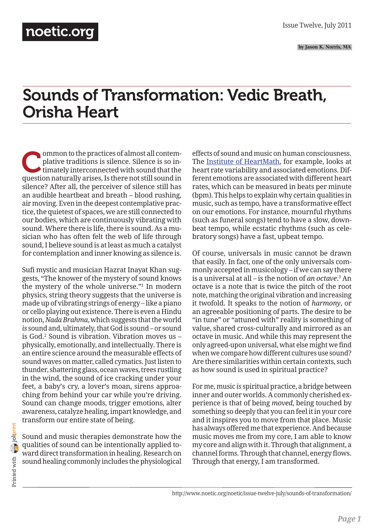**by Jason K. Norris, MA**

# Sounds of Transformation: Vedic Breath, Orisha Heart

ommon to the practices of almost all contem-<br>plative traditions is silence. Silence is so in-<br>timately interconnected with sound that the<br>guestion paturally arises. Is there not still sound in plative traditions is silence. Silence is so intimately interconnected with sound that the question naturally arises, Is there not still sound in silence? After all, the perceiver of silence still has an audible heartbeat and breath – blood rushing, air moving. Even in the deepest contemplative practice, the quietest of spaces, we are still connected to our bodies, which are continuously vibrating with sound. Where there is life, there is sound. As a musician who has often felt the web of life through sound, I believe sound is at least as much a catalyst for contemplation and inner knowing as silence is.

Sufi mystic and musician Hazrat Inayat Khan suggests, "The knower of the mystery of sound knows the mystery of the whole universe."1 In modern physics, string theory suggests that the universe is made up of vibrating strings of energy – like a piano or cello playing out existence. There is even a Hindu notion, *Nada Brahma*, which suggests that the world *is* sound and, ultimately, that God is sound – or sound is God.2 Sound is vibration. Vibration moves us – physically, emotionally, and intellectually. There is an entire science around the measurable effects of sound waves on matter, called cymatics. Just listen to thunder, shattering glass, ocean waves, trees rustling in the wind, the sound of ice cracking under your feet, a baby's cry, a lover's moan, sirens approaching from behind your car while you're driving. Sound can change moods, trigger emotions, alter awareness, catalyze healing, impart knowledge, and transform our entire state of being.

Sound and music therapies demonstrate how the qualities of sound can be intentionally applied toward direct transformation in healing. Research on sound healing commonly includes the physiological effects of sound and music on human consciousness. The [Institute of HeartMath](http://www.heartmath.org/), for example, looks at heart rate variability and associated emotions. Different emotions are associated with different heart rates, which can be measured in beats per minute (bpm). This helps to explain why certain qualities in music, such as tempo, have a transformative effect on our emotions. For instance, mournful rhythms (such as funeral songs) tend to have a slow, downbeat tempo, while ecstatic rhythms (such as celebratory songs) have a fast, upbeat tempo.

Of course, universals in music cannot be drawn that easily. In fact, one of the only universals commonly accepted in musicology – if we can say there is a universal at all – is the notion of *an octave*.<sup>3</sup> An octave is a note that is twice the pitch of the root note, matching the original vibration and increasing it twofold. It speaks to the notion of *harmony*, or an agreeable positioning of parts. The desire to be "in tune" or "attuned with" reality is something of value, shared cross-culturally and mirrored as an octave in music. And while this may represent the only agreed-upon universal, what else might we find when we compare how different cultures use sound? Are there similarities within certain contexts, such as how sound is used in spiritual practice?

For me, music *is* spiritual practice, a bridge between inner and outer worlds. A commonly cherished experience is that of being *moved*, being touched by something so deeply that you can feel it in your core and it inspires you to move from that place. Music has always offered me that experience. And because music moves me from my core, I am able to know my core and align with it. Through that alignment, a channel forms. Through that channel, energy flows. Through that energy, I am transformed.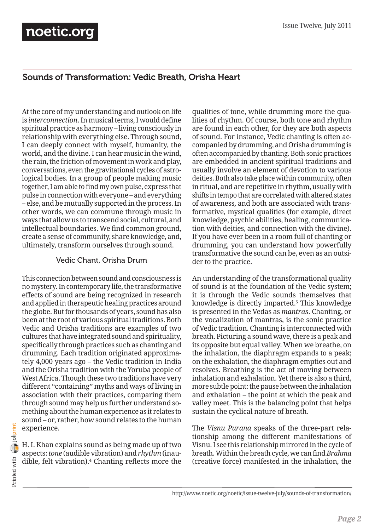### Sounds of Transformation: Vedic Breath, Orisha Heart

At the core of my understanding and outlook on life is *interconnection*. In musical terms, I would define spiritual practice as harmony – living consciously in relationship with everything else. Through sound, I can deeply connect with myself, humanity, the world, and the divine. I can hear music in the wind, the rain, the friction of movement in work and play, conversations, even the gravitational cycles of astrological bodies. In a group of people making music together, I am able to find my own pulse, express that pulse in connection with everyone – and everything – else, and be mutually supported in the process. In other words, we can commune through music in ways that allow us to transcend social, cultural, and intellectual boundaries. We find common ground, create a sense of community, share knowledge, and, ultimately, transform ourselves through sound.

#### Vedic Chant, Orisha Drum

This connection between sound and consciousness is no mystery. In contemporary life, the transformative effects of sound are being recognized in research and applied in therapeutic healing practices around the globe. But for thousands of years, sound has also been at the root of various spiritual traditions. Both Vedic and Orisha traditions are examples of two cultures that have integrated sound and spirituality, specifically through practices such as chanting and drumming. Each tradition originated approximately 4,000 years ago – the Vedic tradition in India and the Orisha tradition with the Yoruba people of West Africa. Though these two traditions have very different "containing" myths and ways of living in association with their practices, comparing them through sound may help us further understand something about the human experience as it relates to sound – or, rather, how sound relates to the human experience.

H. I. Khan explains sound as being made up of two aspects: *tone* (audible vibration) and *rhythm* (inaudible, felt vibration).4 Chanting reflects more the qualities of tone, while drumming more the qualities of rhythm. Of course, both tone and rhythm are found in each other, for they are both aspects of sound. For instance, Vedic chanting is often accompanied by drumming, and Orisha drumming is often accompanied by chanting. Both sonic practices are embedded in ancient spiritual traditions and usually involve an element of devotion to various deities. Both also take place within community, often in ritual, and are repetitive in rhythm, usually with shifts in tempo that are correlated with altered states of awareness, and both are associated with transformative, mystical qualities (for example, direct knowledge, psychic abilities, healing, communication with deities, and connection with the divine). If you have ever been in a room full of chanting or drumming, you can understand how powerfully transformative the sound can be, even as an outsider to the practice.

An understanding of the transformational quality of sound is at the foundation of the Vedic system; it is through the Vedic sounds themselves that knowledge is directly imparted.5 This knowledge is presented in the Vedas as *mantras*. Chanting, or the vocalization of mantras, is the sonic practice of Vedic tradition. Chanting is interconnected with breath. Picturing a sound wave, there is a peak and its opposite but equal valley. When we breathe, on the inhalation, the diaphragm expands to a peak; on the exhalation, the diaphragm empties out and resolves. Breathing is the act of moving between inhalation and exhalation. Yet there is also a third, more subtle point: the pause between the inhalation and exhalation – the point at which the peak and valley meet. This is the balancing point that helps sustain the cyclical nature of breath.

The *Visnu Purana* speaks of the three-part relationship among the different manifestations of Visnu. I see this relationship mirrored in the cycle of breath. Within the breath cycle, we can find *Brahma* (creative force) manifested in the inhalation, the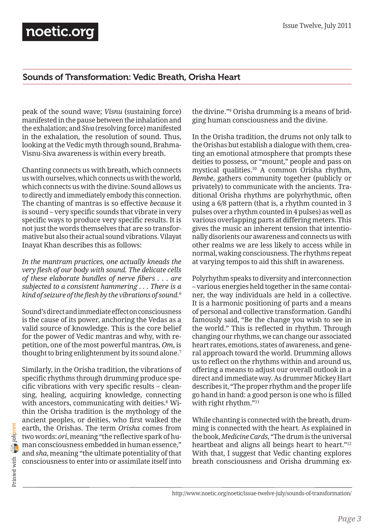#### Sounds of Transformation: Vedic Breath, Orisha Heart

peak of the sound wave; *Visnu* (sustaining force) manifested in the pause between the inhalation and the exhalation; and *Siva* (resolving force) manifested in the exhalation, the resolution of sound. Thus, looking at the Vedic myth through sound, Brahma-Visnu-Siva awareness is within every breath.

Chanting connects us with breath, which connects us with ourselves, which connects us with the world, which connects us with the divine. Sound allows us to directly and immediately embody this connection. The chanting of mantras is so effective *because* it is sound – very specific sounds that vibrate in very specific ways to produce very specific results. It is not just the words themselves that are so transformative but also their actual sound vibrations. Vilayat Inayat Khan describes this as follows:

*In the mantram practices, one actually kneads the very flesh of our body with sound. The delicate cells of these elaborate bundles of nerve fibers . . . are subjected to a consistent hammering . . . There is a kind of seizure of the flesh by the vibrations of sound.*<sup>6</sup>

Sound's direct and immediate effect on consciousness is the cause of its power, anchoring the Vedas as a valid source of knowledge. This is the core belief for the power of Vedic mantras and why, with repetition, one of the most powerful mantras, *Om*, is thought to bring enlightenment by its sound alone.<sup>7</sup>

Similarly, in the Orisha tradition, the vibrations of specific rhythms through drumming produce specific vibrations with very specific results – cleansing, healing, acquiring knowledge, connecting with ancestors, communicating with deities.<sup>8</sup> Within the Orisha tradition is the mythology of the ancient peoples, or deities, who first walked the earth, the Orishas. The term *Orisha* comes from two words: *ori*, meaning "the reflective spark of human consciousness embedded in human essence," and *sha*, meaning "the ultimate potentiality of that consciousness to enter into or assimilate itself into

the divine."9 Orisha drumming is a means of bridging human consciousness and the divine.

In the Orisha tradition, the drums not only talk to the Orishas but establish a dialogue with them, creating an emotional atmosphere that prompts these deities to possess, or "mount," people and pass on mystical qualities.10 A common Orisha rhythm, *Bembe*, gathers community together (publicly or privately) to communicate with the ancients. Traditional Orisha rhythms are polyrhythmic, often using a 6/8 pattern (that is, a rhythm counted in 3 pulses over a rhythm counted in 4 pulses) as well as various overlapping parts at differing meters. This gives the music an inherent tension that intentionally disorients our awareness and connects us with other realms we are less likely to access while in normal, waking consciousness. The rhythms repeat at varying tempos to aid this shift in awareness.

Polyrhythm speaks to diversity and interconnection – various energies held together in the same container, the way individuals are held in a collective. It is a harmonic positioning of parts and a means of personal and collective transformation. Gandhi famously said, "Be the change you wish to see in the world." This is reflected in rhythm. Through changing our rhythms, we can change our associated heart rates, emotions, states of awareness, and general approach toward the world. Drumming allows us to reflect on the rhythms within and around us, offering a means to adjust our overall outlook in a direct and immediate way. As drummer Mickey Hart describes it, "The proper rhythm and the proper life go hand in hand: a good person is one who is filled with right rhythm."<sup>11</sup>

While chanting is connected with the breath, drumming is connected with the heart. As explained in the book, *Medicine Cards*, "The drum is the universal heartbeat and aligns all beings heart to heart."<sup>12</sup> With that, I suggest that Vedic chanting explores breath consciousness and Orisha drumming ex-

Printed with **[joliprint](http://joliprint.com)** Printed with

http://www.noetic.org/noetic/issue-twelve-july/sounds-of-transformation/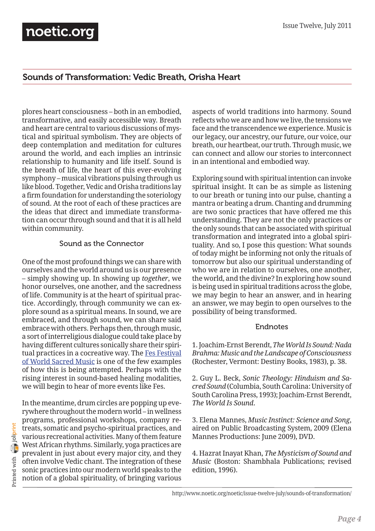### Sounds of Transformation: Vedic Breath, Orisha Heart

plores heart consciousness – both in an embodied, transformative, and easily accessible way. Breath and heart are central to various discussions of mystical and spiritual symbolism. They are objects of deep contemplation and meditation for cultures around the world, and each implies an intrinsic relationship to humanity and life itself. Sound is the breath of life, the heart of this ever-evolving symphony – musical vibrations pulsing through us like blood. Together, Vedic and Orisha traditions lay a firm foundation for understanding the soteriology of sound. At the root of each of these practices are the ideas that direct and immediate transformation can occur through sound and that it is all held within community.

#### Sound as the Connector

One of the most profound things we can share with ourselves and the world around us is our presence – simply showing up. In showing up *together*, we honor ourselves, one another, and the sacredness of life. Community is at the heart of spiritual practice. Accordingly, through community we can explore sound as a spiritual means. In sound, we are embraced, and through sound, we can share said embrace with others. Perhaps then, through music, a sort of interreligious dialogue could take place by having different cultures sonically share their spiritual practices in a cocreative way. The [Fes Festival](http://www.fesfestival.com/) [of World Sacred Music](http://www.fesfestival.com/) is one of the few examples of how this is being attempted. Perhaps with the rising interest in sound-based healing modalities, we will begin to hear of more events like Fes.

Printed with **[joliprint](http://joliprint.com)**  $\frac{1}{2}$  printed with  $\frac{1}{2}$  joliprint

In the meantime, drum circles are popping up everywhere throughout the modern world – in wellness programs, professional workshops, company retreats, somatic and psycho-spiritual practices, and various recreational activities. Many of them feature West African rhythms. Similarly, yoga practices are prevalent in just about every major city, and they often involve Vedic chant. The integration of these sonic practices into our modern world speaks to the notion of a global spirituality, of bringing various

aspects of world traditions into harmony. Sound reflects who we are and how we live, the tensions we face and the transcendence we experience. Music is our legacy, our ancestry, our future, our voice, our breath, our heartbeat, our truth. Through music, we can connect and allow our stories to interconnect in an intentional and embodied way.

Exploring sound with spiritual intention can invoke spiritual insight. It can be as simple as listening to our breath or tuning into our pulse, chanting a mantra or beating a drum. Chanting and drumming are two sonic practices that have offered me this understanding. They are not the only practices or the only sounds that can be associated with spiritual transformation and integrated into a global spirituality. And so, I pose this question: What sounds of today might be informing not only the rituals of tomorrow but also our spiritual understanding of who we are in relation to ourselves, one another, the world, and the divine? In exploring how sound is being used in spiritual traditions across the globe, we may begin to hear an answer, and in hearing an answer, we may begin to open ourselves to the possibility of being transformed.

#### Endnotes

1. Joachim-Ernst Berendt, *The World Is Sound: Nada Brahma: Music and the Landscape of Consciousness* (Rochester, Vermont: Destiny Books, 1983), p. 38.

2. Guy L. Beck, *Sonic Theology: Hinduism and Sacred Sound* (Columbia, South Carolina: University of South Carolina Press, 1993); Joachim-Ernst Berendt, *The World Is Sound*.

3. Elena Mannes, *Music Instinct: Science and Song*, aired on Public Broadcasting System, 2009 (Elena Mannes Productions: June 2009), DVD.

4. Hazrat Inayat Khan, *The Mysticism of Sound and Music* (Boston: Shambhala Publications; revised edition, 1996).